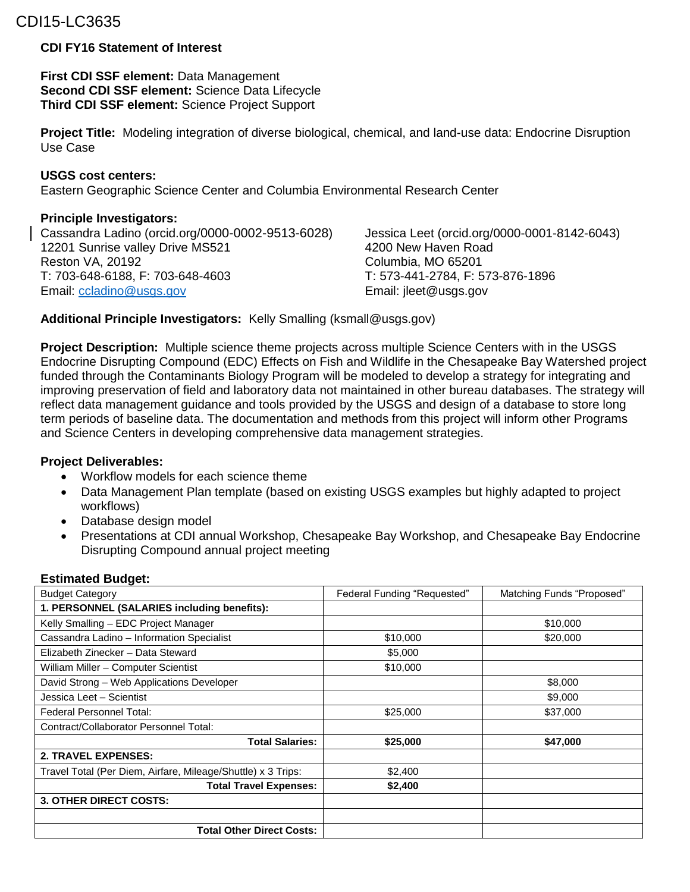# CDI15-LC3635

## **CDI FY16 Statement of Interest**

**First CDI SSF element:** Data Management **Second CDI SSF element:** Science Data Lifecycle **Third CDI SSF element:** Science Project Support

**Project Title:** Modeling integration of diverse biological, chemical, and land-use data: Endocrine Disruption Use Case

#### **USGS cost centers:**

Eastern Geographic Science Center and Columbia Environmental Research Center

## **Principle Investigators:**

Cassandra Ladino (orcid.org/0000-0002-9513-6028) Jessica Leet (orcid.org/0000-0001-8142-6043) 12201 Sunrise valley Drive MS521 4200 New Haven Road Reston VA, 20192 Columbia, MO 65201 T: 703-648-6188, F: 703-648-4603 T: 573-441-2784, F: 573-876-1896 Email: [ccladino@usgs.gov](mailto:ccladino@usgs.gov) Email: jleet@usgs.gov

**Additional Principle Investigators:** Kelly Smalling (ksmall@usgs.gov)

**Project Description:** Multiple science theme projects across multiple Science Centers with in the USGS Endocrine Disrupting Compound (EDC) Effects on Fish and Wildlife in the Chesapeake Bay Watershed project funded through the Contaminants Biology Program will be modeled to develop a strategy for integrating and improving preservation of field and laboratory data not maintained in other bureau databases. The strategy will reflect data management guidance and tools provided by the USGS and design of a database to store long term periods of baseline data. The documentation and methods from this project will inform other Programs and Science Centers in developing comprehensive data management strategies.

## **Project Deliverables:**

- Workflow models for each science theme
- Data Management Plan template (based on existing USGS examples but highly adapted to project workflows)
- Database design model
- Presentations at CDI annual Workshop, Chesapeake Bay Workshop, and Chesapeake Bay Endocrine Disrupting Compound annual project meeting

#### **Estimated Budget:**

| <b>Budget Category</b>                                       | Federal Funding "Requested" | Matching Funds "Proposed" |
|--------------------------------------------------------------|-----------------------------|---------------------------|
| 1. PERSONNEL (SALARIES including benefits):                  |                             |                           |
| Kelly Smalling - EDC Project Manager                         |                             | \$10,000                  |
| Cassandra Ladino - Information Specialist                    | \$10,000                    | \$20,000                  |
| Elizabeth Zinecker - Data Steward                            | \$5,000                     |                           |
| William Miller - Computer Scientist                          | \$10,000                    |                           |
| David Strong - Web Applications Developer                    |                             | \$8,000                   |
| Jessica Leet - Scientist                                     |                             | \$9,000                   |
| Federal Personnel Total:                                     | \$25,000                    | \$37,000                  |
| Contract/Collaborator Personnel Total:                       |                             |                           |
| <b>Total Salaries:</b>                                       | \$25,000                    | \$47,000                  |
| <b>2. TRAVEL EXPENSES:</b>                                   |                             |                           |
| Travel Total (Per Diem, Airfare, Mileage/Shuttle) x 3 Trips: | \$2,400                     |                           |
| <b>Total Travel Expenses:</b>                                | \$2,400                     |                           |
| 3. OTHER DIRECT COSTS:                                       |                             |                           |
|                                                              |                             |                           |
| <b>Total Other Direct Costs:</b>                             |                             |                           |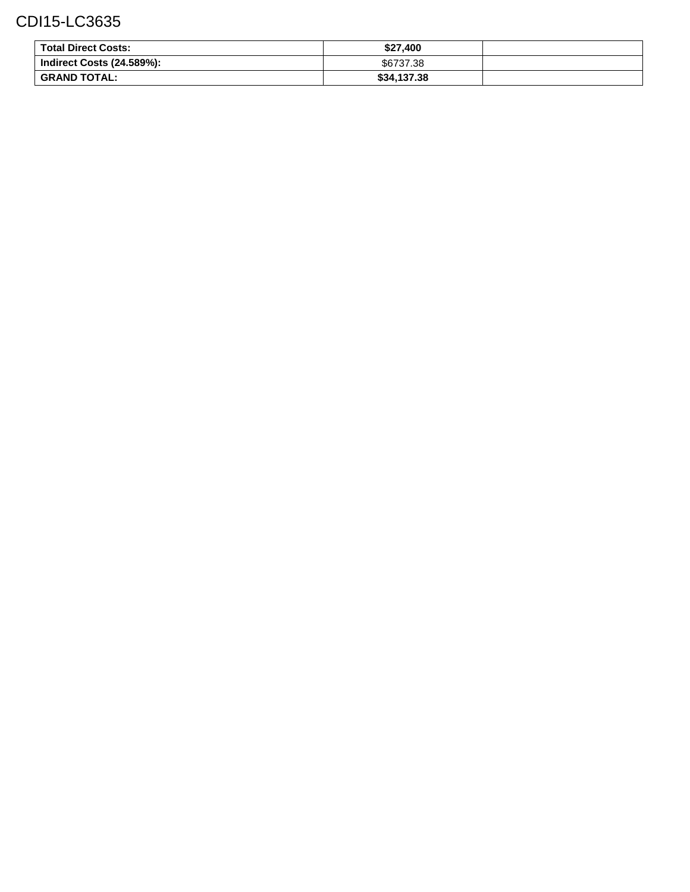# CDI15-LC3635

| <b>Total Direct Costs:</b>       | \$27.400    |  |
|----------------------------------|-------------|--|
| <b>Indirect Costs (24.589%):</b> | \$6737.38   |  |
| <b>GRAND TOTAL:</b>              | \$34,137.38 |  |